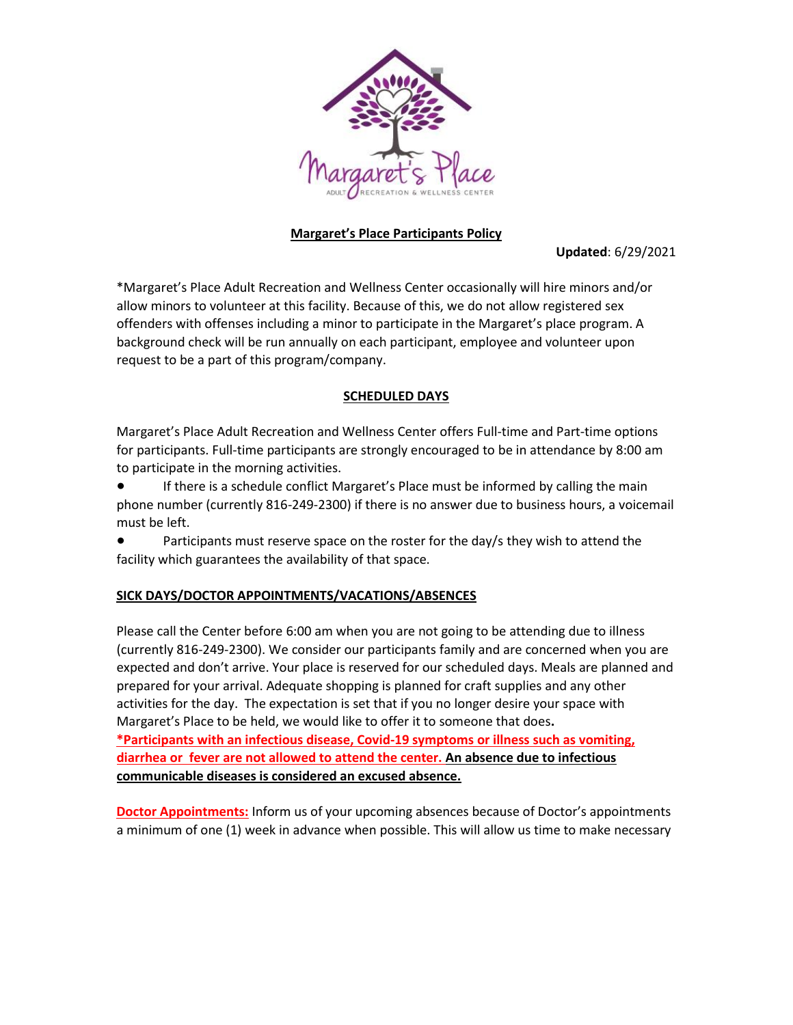

## **Margaret's Place Participants Policy**

**Updated**: 6/29/2021

\*Margaret's Place Adult Recreation and Wellness Center occasionally will hire minors and/or allow minors to volunteer at this facility. Because of this, we do not allow registered sex offenders with offenses including a minor to participate in the Margaret's place program. A background check will be run annually on each participant, employee and volunteer upon request to be a part of this program/company.

### **SCHEDULED DAYS**

Margaret's Place Adult Recreation and Wellness Center offers Full-time and Part-time options for participants. Full-time participants are strongly encouraged to be in attendance by 8:00 am to participate in the morning activities.

If there is a schedule conflict Margaret's Place must be informed by calling the main phone number (currently 816-249-2300) if there is no answer due to business hours, a voicemail must be left.

Participants must reserve space on the roster for the day/s they wish to attend the facility which guarantees the availability of that space.

# **SICK DAYS/DOCTOR APPOINTMENTS/VACATIONS/ABSENCES**

Please call the Center before 6:00 am when you are not going to be attending due to illness (currently 816-249-2300). We consider our participants family and are concerned when you are expected and don't arrive. Your place is reserved for our scheduled days. Meals are planned and prepared for your arrival. Adequate shopping is planned for craft supplies and any other activities for the day. The expectation is set that if you no longer desire your space with Margaret's Place to be held, we would like to offer it to someone that does**. \*Participants with an infectious disease, Covid-19 symptoms or illness such as vomiting, diarrhea or fever are not allowed to attend the center. An absence due to infectious communicable diseases is considered an excused absence.** 

**Doctor Appointments:** Inform us of your upcoming absences because of Doctor's appointments a minimum of one (1) week in advance when possible. This will allow us time to make necessary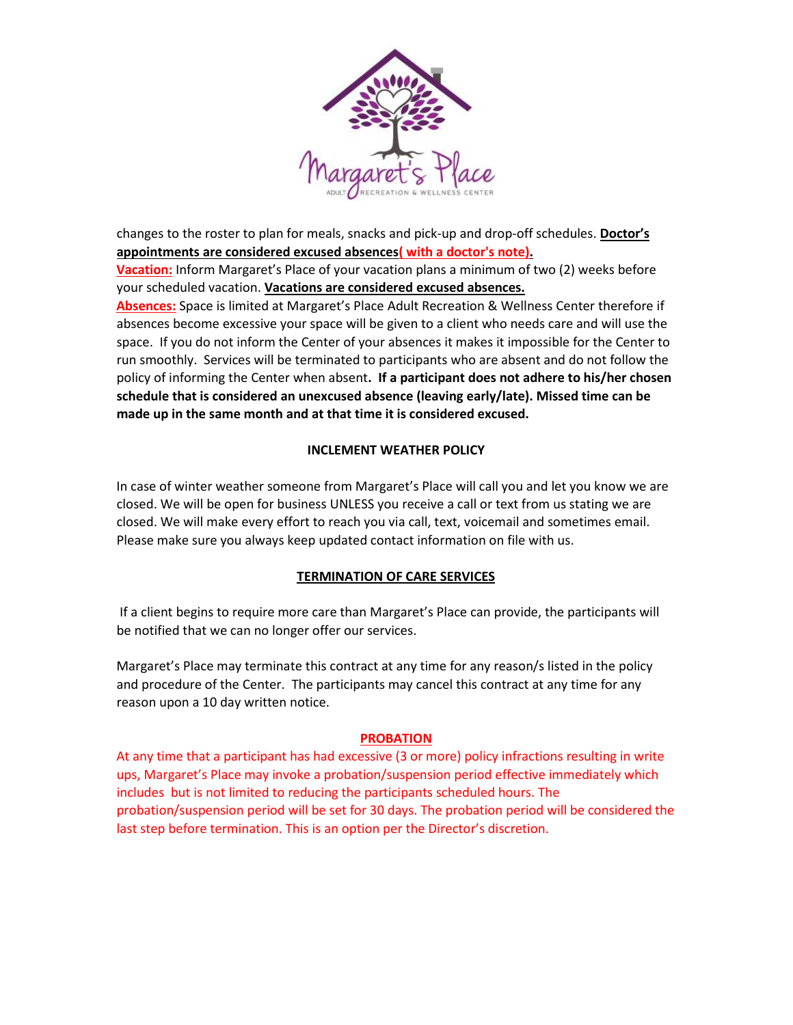

changes to the roster to plan for meals, snacks and pick-up and drop-off schedules. **Doctor's appointments are considered excused absences( with a doctor's note).**

**Vacation:** Inform Margaret's Place of your vacation plans a minimum of two (2) weeks before your scheduled vacation. **Vacations are considered excused absences.**

**Absences:** Space is limited at Margaret's Place Adult Recreation & Wellness Center therefore if absences become excessive your space will be given to a client who needs care and will use the space. If you do not inform the Center of your absences it makes it impossible for the Center to run smoothly. Services will be terminated to participants who are absent and do not follow the policy of informing the Center when absent**. If a participant does not adhere to his/her chosen schedule that is considered an unexcused absence (leaving early/late). Missed time can be made up in the same month and at that time it is considered excused.**

### **INCLEMENT WEATHER POLICY**

In case of winter weather someone from Margaret's Place will call you and let you know we are closed. We will be open for business UNLESS you receive a call or text from us stating we are closed. We will make every effort to reach you via call, text, voicemail and sometimes email. Please make sure you always keep updated contact information on file with us.

#### **TERMINATION OF CARE SERVICES**

If a client begins to require more care than Margaret's Place can provide, the participants will be notified that we can no longer offer our services.

Margaret's Place may terminate this contract at any time for any reason/s listed in the policy and procedure of the Center. The participants may cancel this contract at any time for any reason upon a 10 day written notice.

#### **PROBATION**

At any time that a participant has had excessive (3 or more) policy infractions resulting in write ups, Margaret's Place may invoke a probation/suspension period effective immediately which includes but is not limited to reducing the participants scheduled hours. The probation/suspension period will be set for 30 days. The probation period will be considered the last step before termination. This is an option per the Director's discretion.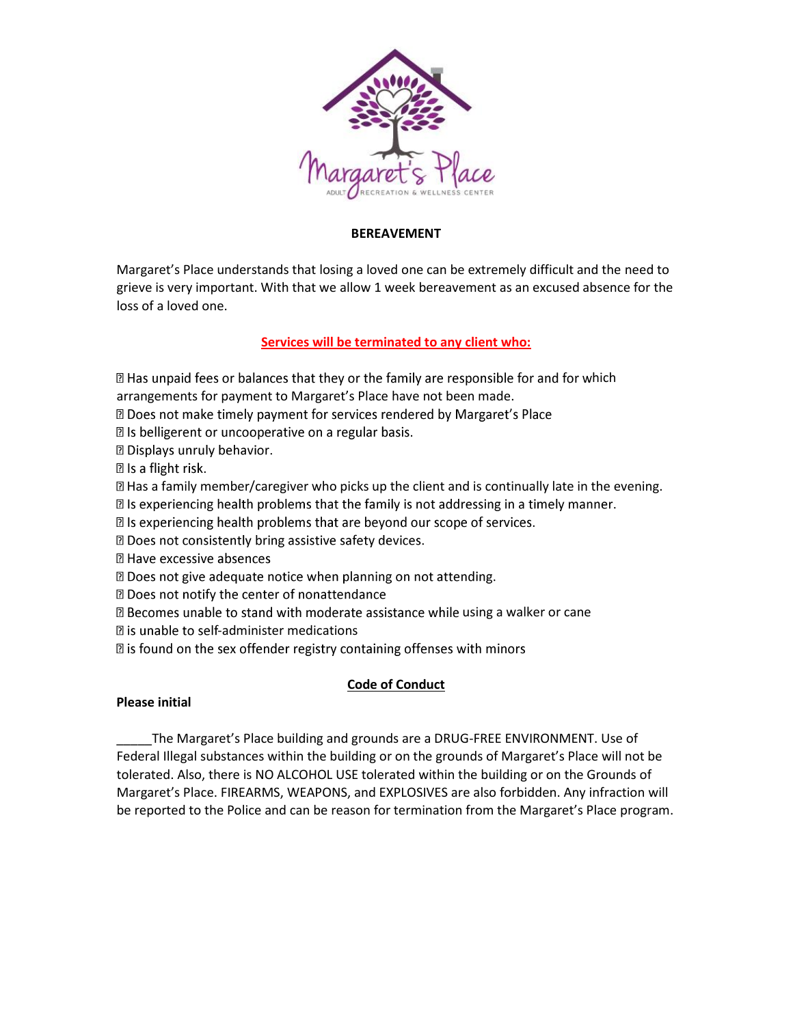

### **BEREAVEMENT**

Margaret's Place understands that losing a loved one can be extremely difficult and the need to grieve is very important. With that we allow 1 week bereavement as an excused absence for the loss of a loved one.

# **Services will be terminated to any client who:**

I Has unpaid fees or balances that they or the family are responsible for and for which arrangements for payment to Margaret's Place have not been made.

**Does not make timely payment for services rendered by Margaret's Place** 

Z Is belligerent or uncooperative on a regular basis.

**D** Displays unruly behavior.

**2** Is a flight risk.

Has a family member/caregiver who picks up the client and is continually late in the evening.

I is experiencing health problems that the family is not addressing in a timely manner.

I Is experiencing health problems that are beyond our scope of services.

X Does not consistently bring assistive safety devices.

**2 Have excessive absences** 

X Does not give adequate notice when planning on not attending.

2 Does not notify the center of nonattendance

 $\mathbb B$  Becomes unable to stand with moderate assistance while using a walker or cane

**Data is unable to self-administer medications** 

**I** is found on the sex offender registry containing offenses with minors

#### **Code of Conduct**

#### **Please initial**

\_\_\_\_\_The Margaret's Place building and grounds are a DRUG-FREE ENVIRONMENT. Use of Federal Illegal substances within the building or on the grounds of Margaret's Place will not be tolerated. Also, there is NO ALCOHOL USE tolerated within the building or on the Grounds of Margaret's Place. FIREARMS, WEAPONS, and EXPLOSIVES are also forbidden. Any infraction will be reported to the Police and can be reason for termination from the Margaret's Place program.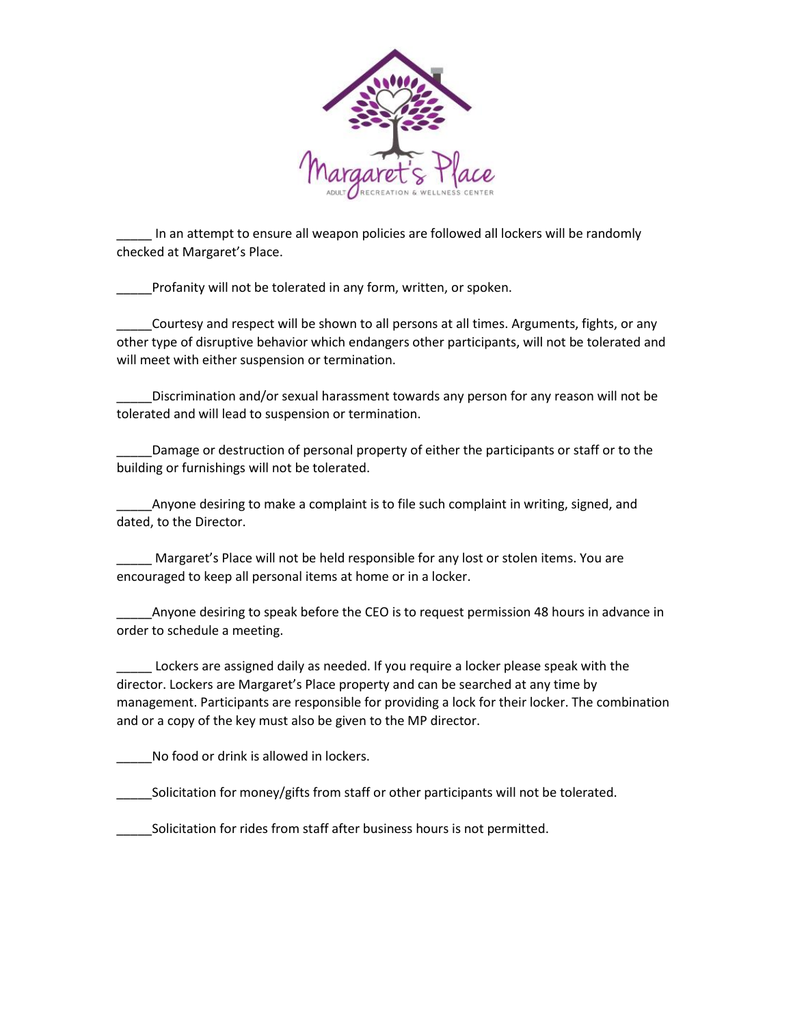

\_\_\_\_\_ In an attempt to ensure all weapon policies are followed all lockers will be randomly checked at Margaret's Place.

Profanity will not be tolerated in any form, written, or spoken.

\_\_\_\_\_Courtesy and respect will be shown to all persons at all times. Arguments, fights, or any other type of disruptive behavior which endangers other participants, will not be tolerated and will meet with either suspension or termination.

\_\_\_\_\_Discrimination and/or sexual harassment towards any person for any reason will not be tolerated and will lead to suspension or termination.

Damage or destruction of personal property of either the participants or staff or to the building or furnishings will not be tolerated.

Anyone desiring to make a complaint is to file such complaint in writing, signed, and dated, to the Director.

Margaret's Place will not be held responsible for any lost or stolen items. You are encouraged to keep all personal items at home or in a locker.

Anyone desiring to speak before the CEO is to request permission 48 hours in advance in order to schedule a meeting.

Lockers are assigned daily as needed. If you require a locker please speak with the director. Lockers are Margaret's Place property and can be searched at any time by management. Participants are responsible for providing a lock for their locker. The combination and or a copy of the key must also be given to the MP director.

No food or drink is allowed in lockers.

Solicitation for money/gifts from staff or other participants will not be tolerated.

Solicitation for rides from staff after business hours is not permitted.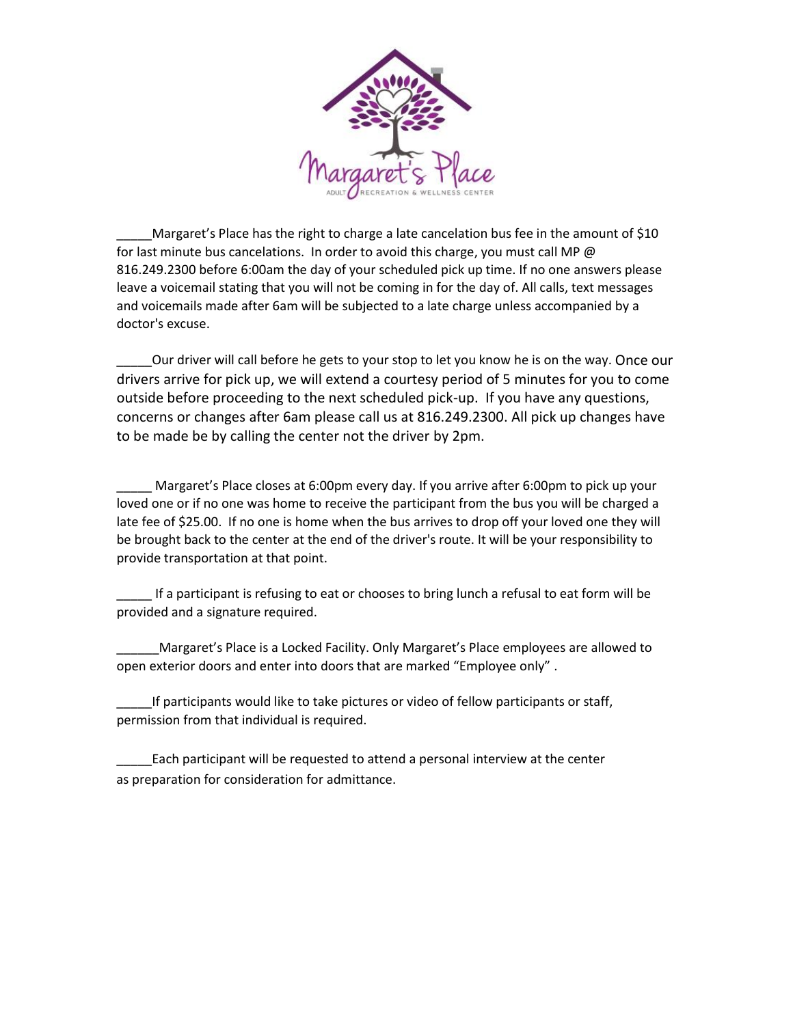

Margaret's Place has the right to charge a late cancelation bus fee in the amount of \$10 for last minute bus cancelations. In order to avoid this charge, you must call MP  $\omega$ 816.249.2300 before 6:00am the day of your scheduled pick up time. If no one answers please leave a voicemail stating that you will not be coming in for the day of. All calls, text messages and voicemails made after 6am will be subjected to a late charge unless accompanied by a doctor's excuse.

\_\_\_\_\_Our driver will call before he gets to your stop to let you know he is on the way. Once our drivers arrive for pick up, we will extend a courtesy period of 5 minutes for you to come outside before proceeding to the next scheduled pick-up. If you have any questions, concerns or changes after 6am please call us at 816.249.2300. All pick up changes have to be made be by calling the center not the driver by 2pm.

Margaret's Place closes at 6:00pm every day. If you arrive after 6:00pm to pick up your loved one or if no one was home to receive the participant from the bus you will be charged a late fee of \$25.00. If no one is home when the bus arrives to drop off your loved one they will be brought back to the center at the end of the driver's route. It will be your responsibility to provide transportation at that point.

If a participant is refusing to eat or chooses to bring lunch a refusal to eat form will be provided and a signature required.

Margaret's Place is a Locked Facility. Only Margaret's Place employees are allowed to open exterior doors and enter into doors that are marked "Employee only" .

If participants would like to take pictures or video of fellow participants or staff, permission from that individual is required.

\_\_\_\_\_Each participant will be requested to attend a personal interview at the center as preparation for consideration for admittance.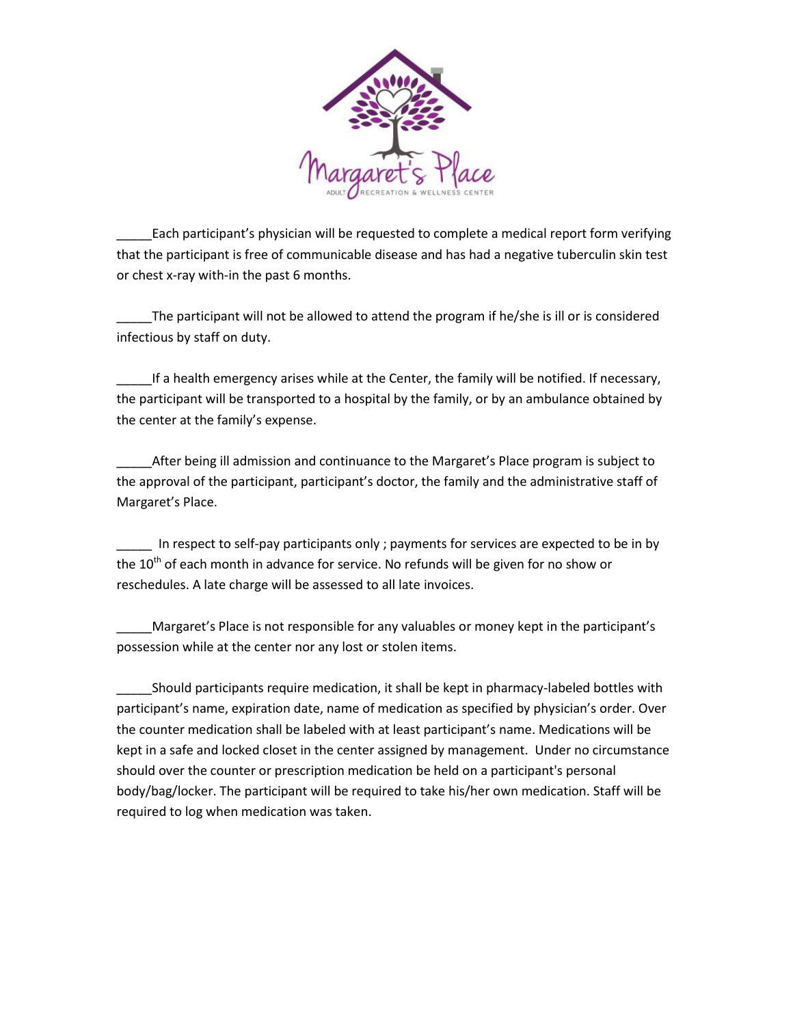

Each participant's physician will be requested to complete a medical report form verifying that the participant is free of communicable disease and has had a negative tuberculin skin test or chest x-ray with-in the past 6 months.

The participant will not be allowed to attend the program if he/she is ill or is considered infectious by staff on duty.

If a health emergency arises while at the Center, the family will be notified. If necessary, the participant will be transported to a hospital by the family, or by an ambulance obtained by the center at the family's expense.

After being ill admission and continuance to the Margaret's Place program is subject to the approval of the participant, participant's doctor, the family and the administrative staff of Margaret's Place.

\_\_\_\_\_ In respect to self-pay participants only ; payments for services are expected to be in by the 10<sup>th</sup> of each month in advance for service. No refunds will be given for no show or reschedules. A late charge will be assessed to all late invoices.

Margaret's Place is not responsible for any valuables or money kept in the participant's possession while at the center nor any lost or stolen items.

\_\_\_\_\_Should participants require medication, it shall be kept in pharmacy-labeled bottles with participant's name, expiration date, name of medication as specified by physician's order. Over the counter medication shall be labeled with at least participant's name. Medications will be kept in a safe and locked closet in the center assigned by management. Under no circumstance should over the counter or prescription medication be held on a participant's personal body/bag/locker. The participant will be required to take his/her own medication. Staff will be required to log when medication was taken.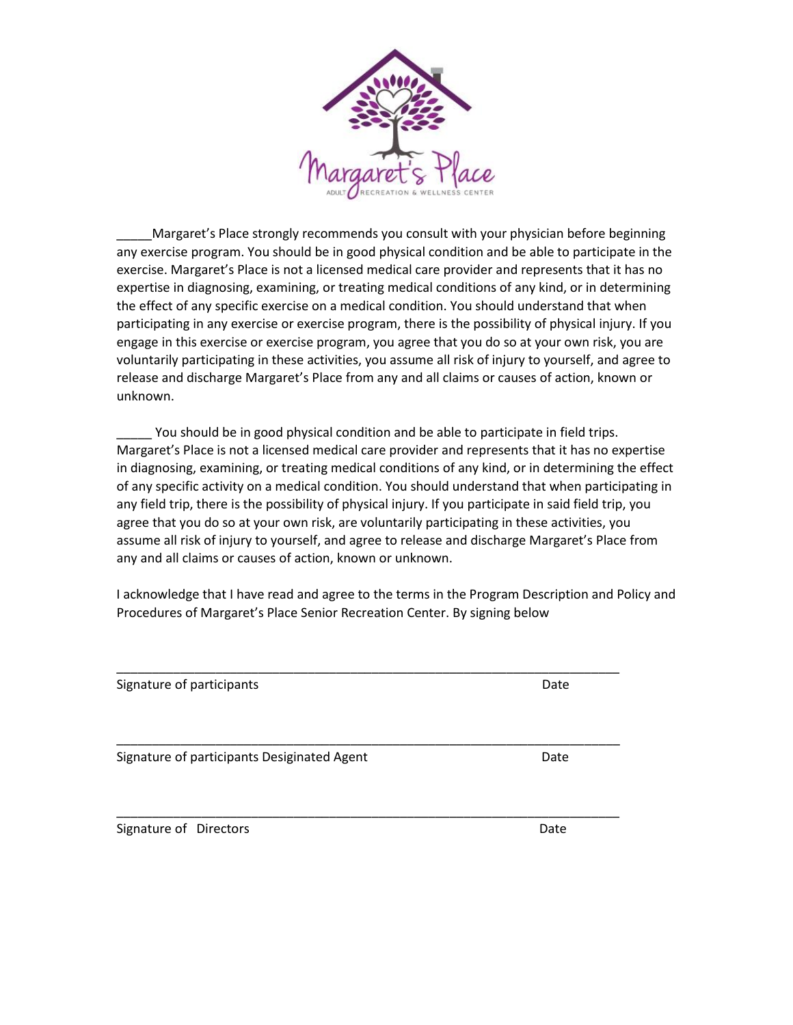

Margaret's Place strongly recommends you consult with your physician before beginning any exercise program. You should be in good physical condition and be able to participate in the exercise. Margaret's Place is not a licensed medical care provider and represents that it has no expertise in diagnosing, examining, or treating medical conditions of any kind, or in determining the effect of any specific exercise on a medical condition. You should understand that when participating in any exercise or exercise program, there is the possibility of physical injury. If you engage in this exercise or exercise program, you agree that you do so at your own risk, you are voluntarily participating in these activities, you assume all risk of injury to yourself, and agree to release and discharge Margaret's Place from any and all claims or causes of action, known or unknown.

\_\_\_\_\_ You should be in good physical condition and be able to participate in field trips. Margaret's Place is not a licensed medical care provider and represents that it has no expertise in diagnosing, examining, or treating medical conditions of any kind, or in determining the effect of any specific activity on a medical condition. You should understand that when participating in any field trip, there is the possibility of physical injury. If you participate in said field trip, you agree that you do so at your own risk, are voluntarily participating in these activities, you assume all risk of injury to yourself, and agree to release and discharge Margaret's Place from any and all claims or causes of action, known or unknown.

I acknowledge that I have read and agree to the terms in the Program Description and Policy and Procedures of Margaret's Place Senior Recreation Center. By signing below

Signature of participants **Date** Date of participants **Date** Date of Participants **Date** \_\_\_\_\_\_\_\_\_\_\_\_\_\_\_\_\_\_\_\_\_\_\_\_\_\_\_\_\_\_\_\_\_\_\_\_\_\_\_\_\_\_\_\_\_\_\_\_\_\_\_\_\_\_\_\_\_\_\_\_\_\_\_\_\_\_\_\_\_\_\_ Signature of participants Desiginated Agent **Date** Date

\_\_\_\_\_\_\_\_\_\_\_\_\_\_\_\_\_\_\_\_\_\_\_\_\_\_\_\_\_\_\_\_\_\_\_\_\_\_\_\_\_\_\_\_\_\_\_\_\_\_\_\_\_\_\_\_\_\_\_\_\_\_\_\_\_\_\_\_\_\_\_

\_\_\_\_\_\_\_\_\_\_\_\_\_\_\_\_\_\_\_\_\_\_\_\_\_\_\_\_\_\_\_\_\_\_\_\_\_\_\_\_\_\_\_\_\_\_\_\_\_\_\_\_\_\_\_\_\_\_\_\_\_\_\_\_\_\_\_\_\_\_\_

Signature of Directors and the state of the state of the state of the state of the state of the state of the state of the state of the state of the state of the state of the state of the state of the state of the state of